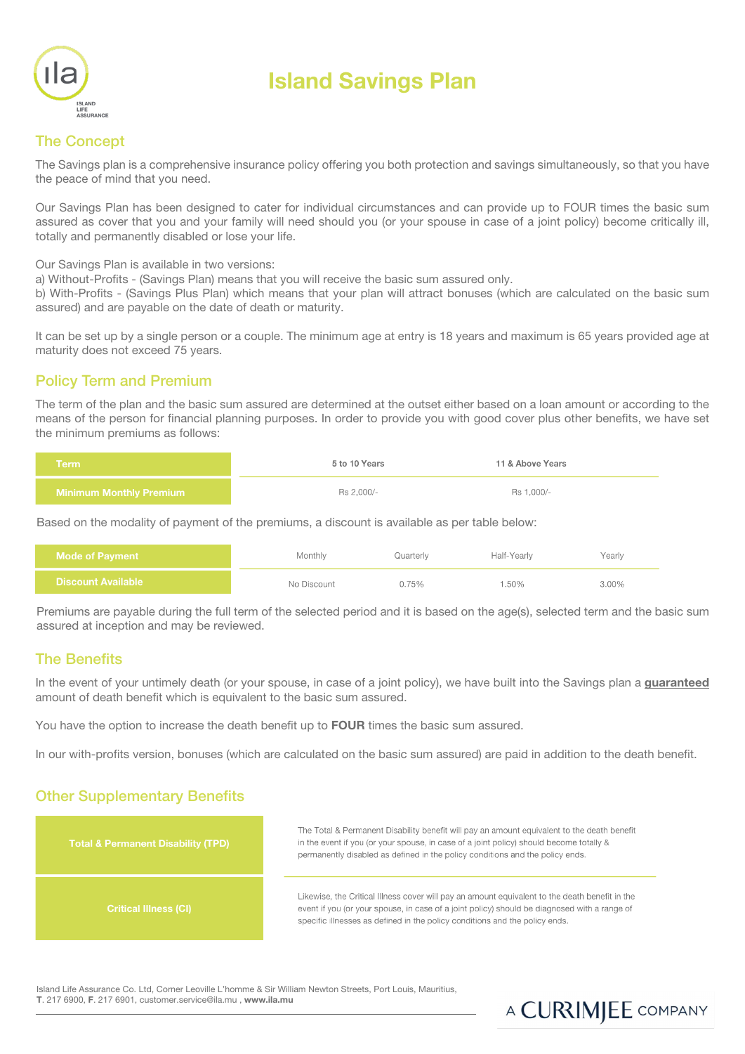

# Island Savings Plan

## The Concept

The Savings plan is a comprehensive insurance policy offering you both protection and savings simultaneously, so that you have the peace of mind that you need.

Our Savings Plan has been designed to cater for individual circumstances and can provide up to FOUR times the basic sum assured as cover that you and your family will need should you (or your spouse in case of a joint policy) become critically ill, totally and permanently disabled or lose your life.

Our Savings Plan is available in two versions:

a) Without-Profits - (Savings Plan) means that you will receive the basic sum assured only.

b) With-Profits - (Savings Plus Plan) which means that your plan will attract bonuses (which are calculated on the basic sum assured) and are payable on the date of death or maturity.

It can be set up by a single person or a couple. The minimum age at entry is 18 years and maximum is 65 years provided age at maturity does not exceed 75 years.

#### Policy Term and Premium

The term of the plan and the basic sum assured are determined at the outset either based on a loan amount or according to the means of the person for financial planning purposes. In order to provide you with good cover plus other benefits, we have set the minimum premiums as follows:

| Term                           | 5 to 10 Years | 11 & Above Years |  |
|--------------------------------|---------------|------------------|--|
| <b>Minimum Monthly Premium</b> | Rs 2,000/-    | Rs 1.000/-       |  |

Based on the modality of payment of the premiums, a discount is available as per table below:

| <b>Mode of Pavment</b>    | Monthly     | Quarterlv | Half-Yearly | Yearly |
|---------------------------|-------------|-----------|-------------|--------|
| <b>Discount Available</b> | No Discount | 0.75%     | .50%        | 3.00%  |

Premiums are payable during the full term of the selected period and it is based on the age(s), selected term and the basic sum assured at inception and may be reviewed.

#### The Benefits

In the event of your untimely death (or your spouse, in case of a joint policy), we have built into the Savings plan a guaranteed amount of death benefit which is equivalent to the basic sum assured.

You have the option to increase the death benefit up to FOUR times the basic sum assured.

In our with-profits version, bonuses (which are calculated on the basic sum assured) are paid in addition to the death benefit.

#### Other Supplementary Benefits



Island Life Assurance Co. Ltd, Corner Leoville L'homme & Sir William Newton Streets, Port Louis, Mauritius, T. 217 6900, F. 217 6901, customer.service@ila.mu , www.ila.mu

# A CURIMJEE COMPANY